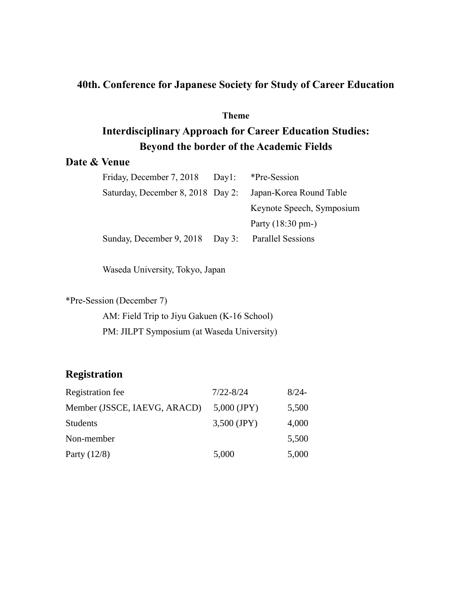# **40th. Conference for Japanese Society for Study of Career Education**

### **Theme**

# **Interdisciplinary Approach for Career Education Studies: Beyond the border of the Academic Fields**

# **Date & Venue**

| Friday, December 7, 2018          | Day! | *Pre-Session                |
|-----------------------------------|------|-----------------------------|
| Saturday, December 8, 2018 Day 2: |      | Japan-Korea Round Table     |
|                                   |      | Keynote Speech, Symposium   |
|                                   |      | Party $(18:30 \text{ pm-})$ |
| Sunday, December 9, 2018 Day 3:   |      | <b>Parallel Sessions</b>    |
|                                   |      |                             |

Waseda University, Tokyo, Japan

\*Pre-Session (December 7)

AM: Field Trip to Jiyu Gakuen (K-16 School) PM: JILPT Symposium (at Waseda University)

# **Registration**

| Registration fee             | $7/22 - 8/24$ | $8/24-$ |
|------------------------------|---------------|---------|
| Member (JSSCE, IAEVG, ARACD) | $5,000$ (JPY) | 5,500   |
| <b>Students</b>              | $3,500$ (JPY) | 4,000   |
| Non-member                   |               | 5,500   |
| Party $(12/8)$               | 5,000         | 5,000   |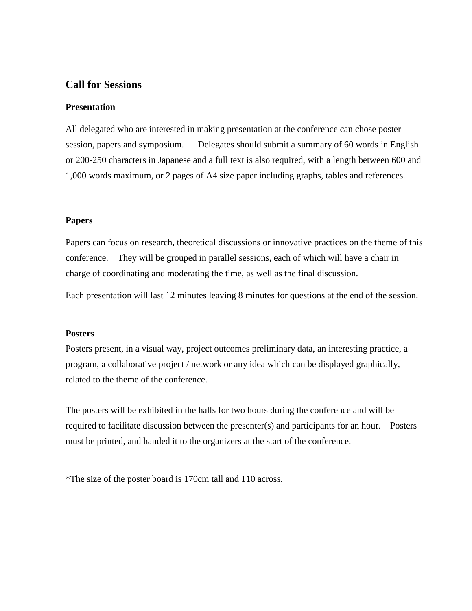## **Call for Sessions**

#### **Presentation**

All delegated who are interested in making presentation at the conference can chose poster session, papers and symposium. Delegates should submit a summary of 60 words in English or 200-250 characters in Japanese and a full text is also required, with a length between 600 and 1,000 words maximum, or 2 pages of A4 size paper including graphs, tables and references.

#### **Papers**

Papers can focus on research, theoretical discussions or innovative practices on the theme of this conference. They will be grouped in parallel sessions, each of which will have a chair in charge of coordinating and moderating the time, as well as the final discussion.

Each presentation will last 12 minutes leaving 8 minutes for questions at the end of the session.

#### **Posters**

Posters present, in a visual way, project outcomes preliminary data, an interesting practice, a program, a collaborative project / network or any idea which can be displayed graphically, related to the theme of the conference.

The posters will be exhibited in the halls for two hours during the conference and will be required to facilitate discussion between the presenter(s) and participants for an hour. Posters must be printed, and handed it to the organizers at the start of the conference.

\*The size of the poster board is 170cm tall and 110 across.